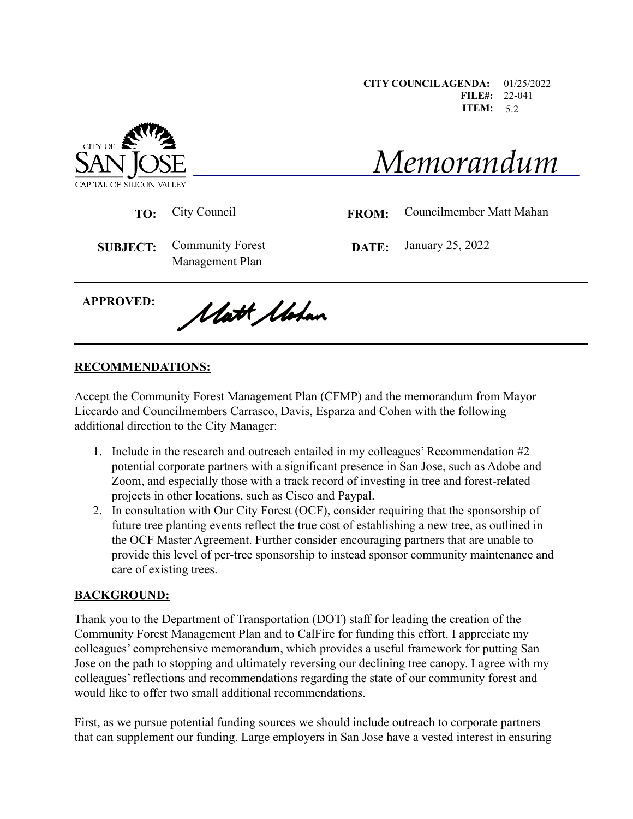**CITY COUNCIL AGENDA:** 01/25/2022 **FILE#:** 22-041 **ITEM:** 5.2

*Memorandum*



**SUBJECT:** Community Forest Management Plan

**TO:** City Council **FROM:** Councilmember Matt Mahan

**DATE:** January 25, 2022

**APPROVED:**

Matt Mohan

## **RECOMMENDATIONS:**

Accept the Community Forest Management Plan (CFMP) and the memorandum from Mayor Liccardo and Councilmembers Carrasco, Davis, Esparza and Cohen with the following additional direction to the City Manager:

- 1. Include in the research and outreach entailed in my colleagues' Recommendation #2 potential corporate partners with a significant presence in San Jose, such as Adobe and Zoom, and especially those with a track record of investing in tree and forest-related projects in other locations, such as Cisco and Paypal.
- 2. In consultation with Our City Forest (OCF), consider requiring that the sponsorship of future tree planting events reflect the true cost of establishing a new tree, as outlined in the OCF Master Agreement. Further consider encouraging partners that are unable to provide this level of per-tree sponsorship to instead sponsor community maintenance and care of existing trees.

## **BACKGROUND:**

Thank you to the Department of Transportation (DOT) staff for leading the creation of the Community Forest Management Plan and to CalFire for funding this effort. I appreciate my colleagues' comprehensive memorandum, which provides a useful framework for putting San Jose on the path to stopping and ultimately reversing our declining tree canopy. I agree with my colleagues' reflections and recommendations regarding the state of our community forest and would like to offer two small additional recommendations.

First, as we pursue potential funding sources we should include outreach to corporate partners that can supplement our funding. Large employers in San Jose have a vested interest in ensuring